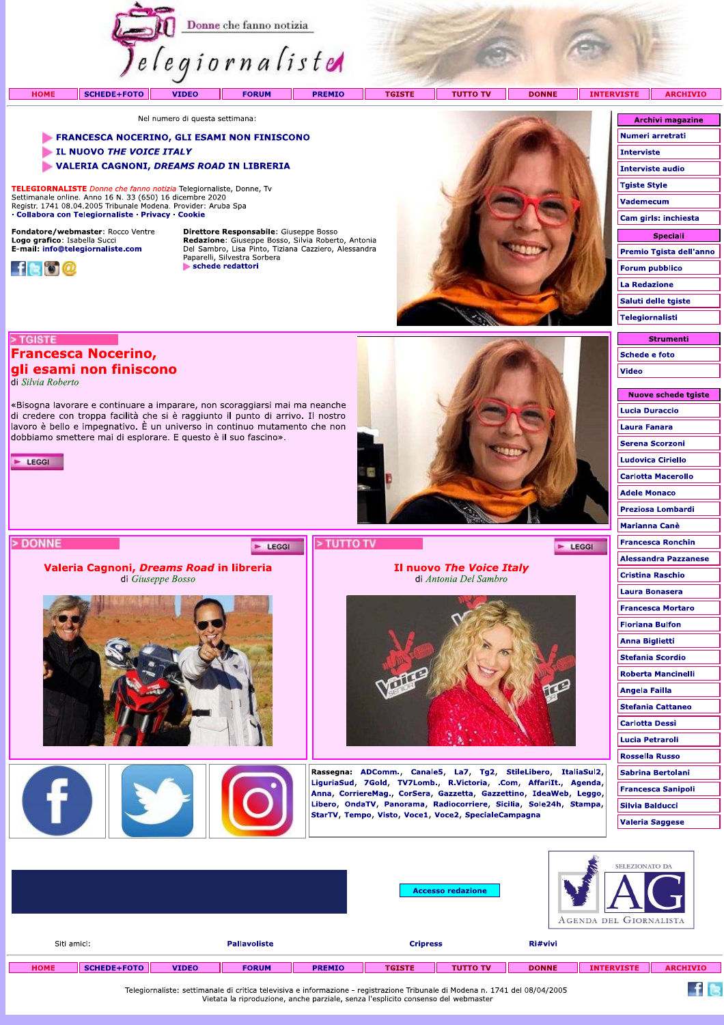

Nel numero di questa settimana:

# FRANCESCA NOCERINO, GLI ESAMI NON FINISCONO

«Bisogna lavorare e continuare a imparare, non scoraggiarsi mai ma neanche di credere con troppa facilità che si è raggiunto il punto di arrivo. Il nostro lavoro è bello e impegnativo. È un universo in continuo mutamento che non

dobbiamo smettere mai di esplorare. E questo è il suo fascino».

Valeria Cagnoni, Dreams Road in libreria di Giuseppe Bosso

**CONTRACTOR** 

- LI NUOVO THE VOICE ITALY
- VALERIA CAGNONI, DREAMS ROAD IN LIBRERIA

TELEGIORNALISTE Donne che fanno notizia Telegiornaliste, Donne, Tv Settimanale online. Anno 16 N. 33 (650) 16 dicembre 2020<br>Registr. 1741 08.04.2005 Tribunale Modena. Provider: Aruba Spa · Collabora con Telegiornaliste · Privacy · Cookie

Fondatore/webmaster: Rocco Ventre Logo grafico: Isabella Succi<br>E-mail: info@telegiornaliste.com

**Francesca Nocerino,** gli esami non finiscono



> TGISTE

 $\blacktriangleright$  LEGGI

> DONNE

di Silvia Roberto

Direttore Responsabile: Giuseppe Bosso **Redazione:** Giuseppe Bosso, Silvia Roberto, Antonia<br>Del Sambro, Lisa Pinto, Tiziana Cazziero, Alessandra<br>Paparelli, Silvestra Sorbera schede redattori

E LEGGI



Il nuovo The Voice Italy

di Antonia Del Sambro

Rassegna: ADComm., Canale5, La7, Tg2, StileLibero, ItaliaSul2, LiguriaSud, 7Gold, TV7Lomb., R.Victoria, .Com, AffariIt., Agenda,

Anna, CorriereMag., CorSera, Gazzetta, Gazzettino, IdeaWeb, Leggo, Libero, OndaTV, Panorama, Radiocorriere, Sicilia, Sole24h, Stampa,

StarTV, Tempo, Visto, Voce1, Voce2, SpecialeCampagna

Numeri arretrati **Interviste Interviste audio Tgiste Style** Vademecum Cam girls: inchiesta **Speciali** Premio Tgista dell'anno **Forum pubblico La Redazione** Saluti delle tgiste **Telegiornalisti** 

**Archivi magazine** 

| <b>Strumenti</b> |  |  |  |  |  |  |
|------------------|--|--|--|--|--|--|
| Schede e foto    |  |  |  |  |  |  |
| Video            |  |  |  |  |  |  |

| Nuove schede tgiste         |
|-----------------------------|
| <b>Lucia Duraccio</b>       |
| Laura Fanara                |
| <b>Serena Scorzoni</b>      |
| <b>Ludovica Ciriello</b>    |
| <b>Carlotta Macerollo</b>   |
| <b>Adele Monaco</b>         |
| Preziosa Lombardi           |
| Marianna Canè               |
| Francesca Ronchin           |
| <b>Alessandra Pazzanese</b> |
| <b>Cristina Raschio</b>     |
| Laura Bonasera              |
| Francesca Mortaro           |
| Floriana Bulfon             |
| <b>Anna Biglietti</b>       |
| <b>Stefania Scordio</b>     |
| Roberta Mancinelli          |
| Angela Failla               |
| <b>Stefania Cattaneo</b>    |
| Carlotta Dessì              |
| Lucia Petraroli             |
| <b>Rossella Russo</b>       |
| <b>Sabrina Bertolani</b>    |
| <b>Francesca Sanipoli</b>   |
| Silvia Balducci             |
| <b>Valeria Saggese</b>      |
|                             |

 $\blacktriangleright$  LEGGI

|                                                                                                                              |                    |              |                     |               |                 | <b>Accesso redazione</b> |              | SELEZIONATO DA<br>AGENDA DEL GIORNALISTA |                 |
|------------------------------------------------------------------------------------------------------------------------------|--------------------|--------------|---------------------|---------------|-----------------|--------------------------|--------------|------------------------------------------|-----------------|
| Siti amici:                                                                                                                  |                    |              | <b>Pallavoliste</b> |               | <b>Cripress</b> |                          | Ri#vivi      |                                          |                 |
| <b>HOME</b>                                                                                                                  | <b>SCHEDE+FOTO</b> | <b>VIDEO</b> | <b>FORUM</b>        | <b>PREMIO</b> | <b>TGISTE</b>   | <b>TUTTO TV</b>          | <b>DONNE</b> | <b>INTERVISTE</b>                        | <b>ARCHIVIO</b> |
| Telegiornaliste: settimanale di critica televisiva e informazione - registrazione Tribunale di Modena n. 1741 del 08/04/2005 |                    |              |                     |               |                 |                          |              |                                          |                 |

> TUTTO TV

Telegiornaliste: settimanale di critica televisiva e informazione - registrazione Tribunale di Modena n. 1741 del 08/04/2005<br>Vietata la riproduzione, anche parziale, senza l'esplicito consenso del webmaster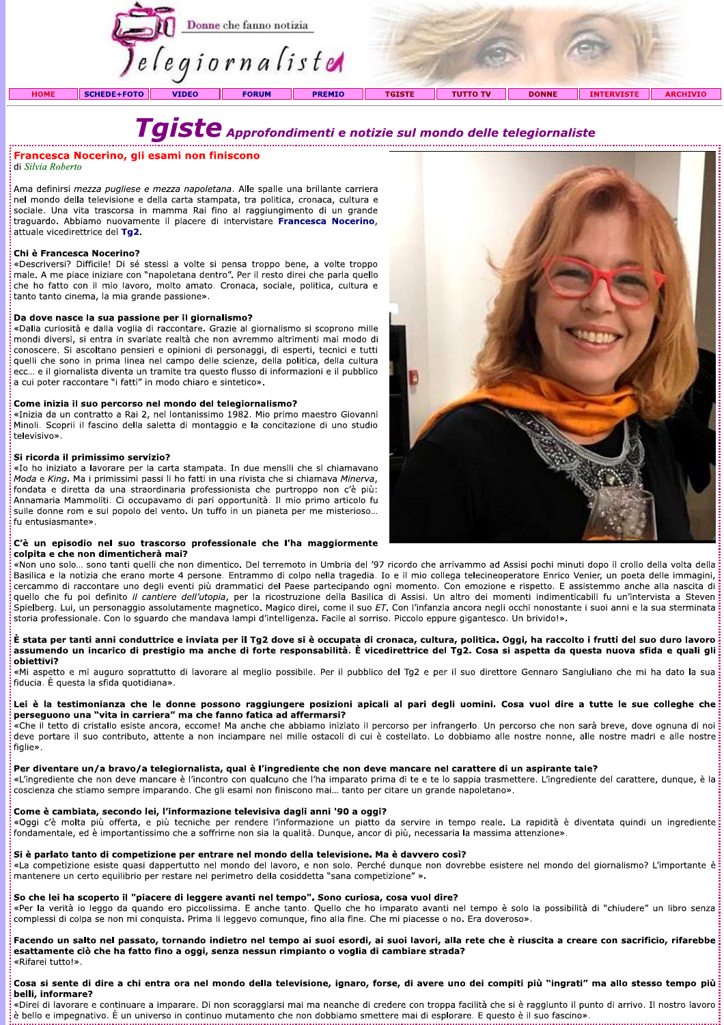|             | Donne che fanno notizia<br>elegiornaliste |              |              |               |               |                 |              |                   |                 |
|-------------|-------------------------------------------|--------------|--------------|---------------|---------------|-----------------|--------------|-------------------|-----------------|
| <b>HOME</b> | <b>SCHEDE+FOTO</b>                        | <b>VIDEO</b> | <b>FORUM</b> | <b>PREMIO</b> | <b>TGISTE</b> | <b>TUTTO TV</b> | <b>DONNE</b> | <b>INTERVISTE</b> | <b>ARCHIVIO</b> |

# di Silvia Roberto

Ama derinirsi *mezza pugliese e mezza napoletana*. Alle spalle una brillante carriera nei mondo della televisione e della carta stampata, tra politica, cronaca, cultura e **Francesca Nocerino, gli esami non finiscono**<br>
di *Silvia Roberto*<br>
Ama definirsi mezza pugliese e mezza napoletana. Alle spalle una brillante carriera<br>
nel mondo della televisione e della carta stampata, tra politica, cro

# Chingediente che non deve manare è l'incontro con qualcune che l'ha imparato prima di te e te lo sappia trasmettere. L'ingrediente del carattere, dunque, è la<br>
considerata de signification con del carattere del carattere.

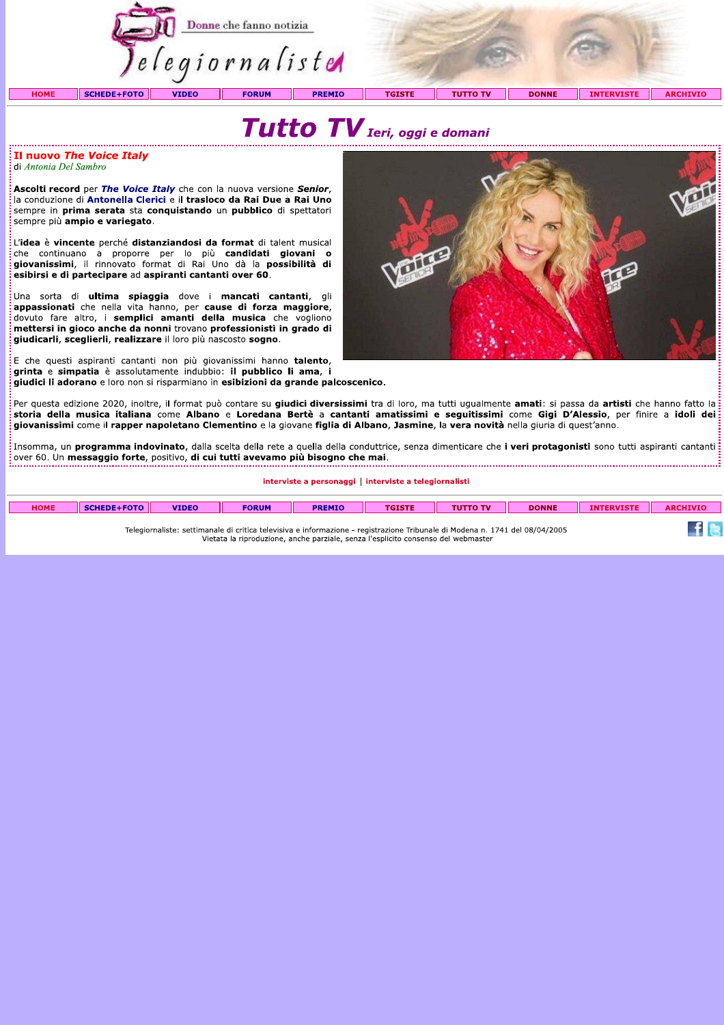



Il nuovo The Voice Italy di Antonia Del Sambro

Ascolti record per The Voice Italy che con la nuova versione Senior. Ia conduzione di Antonella Clerici e il trasloco da Rai Due a Rai Uno sempre in prima serata sta conquistando un pubblico di spettatori sempre più ampio e variegato.

L'idea è vincente perché distanziandosi da format di talent musical stated continuano a proporre per lo più candidati giovani o<br>giovanissimi, il rinnovato format di Rai Uno dà la possibilità di esibirsi e di partecipare ad aspiranti cantanti over 60.

Una sorta di ultima spiaggia dove i mancati cantanti, gli appassionati che nella vita hanno, per cause di forza maggiore, dovuto fare altro, i semplici amanti della musica che vogliono mettersi in gioco anche da nonni trovano professionisti in grado di giudicarli, sceglierli, realizzare il loro più nascosto sogno.

E che questi aspiranti cantanti non più giovanissimi hanno talento, grinta e simpatia è assolutamente indubbio: il pubblico li ama, i giudici li adorano e loro non si risparmiano in esibizioni da grande palcoscenico.



Per questa edizione 2020, inoltre, il format può contare su giudici diversissimi tra di loro, ma tutti uqualmente amati: si passa da artisti che hanno fatto la storia della musica italiana come Albano e Loredana Bertè a cantanti amatissimi e seguitissimi come Gigi D'Alessio, per finire a idoli dei giovanissimi come il rapper napoletano Clementino e la giovane figlia di Albano, Jasmine, la vera novità nella giuria di quest'anno.

.<br>. Insomma, un **programma indovinato**, dalla scelta della rete a quella della conduttrice, senza dimenticare che i veri protagonisti sono tutti aspiranti cantanti over 60. Un messaggio forte, positivo, di cui tutti avevamo più bisogno che mai.

interviste a personaggi | interviste a telegiornalisti

| <b>HOME</b> | SCHEDE+FOTO | <b>VIDEO</b> | <b>FORUM</b> | <b>PREMIO</b> | <b>TGISTE</b> | <b>TUTTO TV</b> | <b>DONNE</b> | <b>INTERVISTE</b> | <b>ARCHIVIO</b> |
|-------------|-------------|--------------|--------------|---------------|---------------|-----------------|--------------|-------------------|-----------------|
|             |             |              |              |               |               |                 |              |                   |                 |
|             |             |              |              |               |               |                 |              |                   |                 |

Vietata la riproduzione, anche parziale, senza l'esplicito consenso del webmaster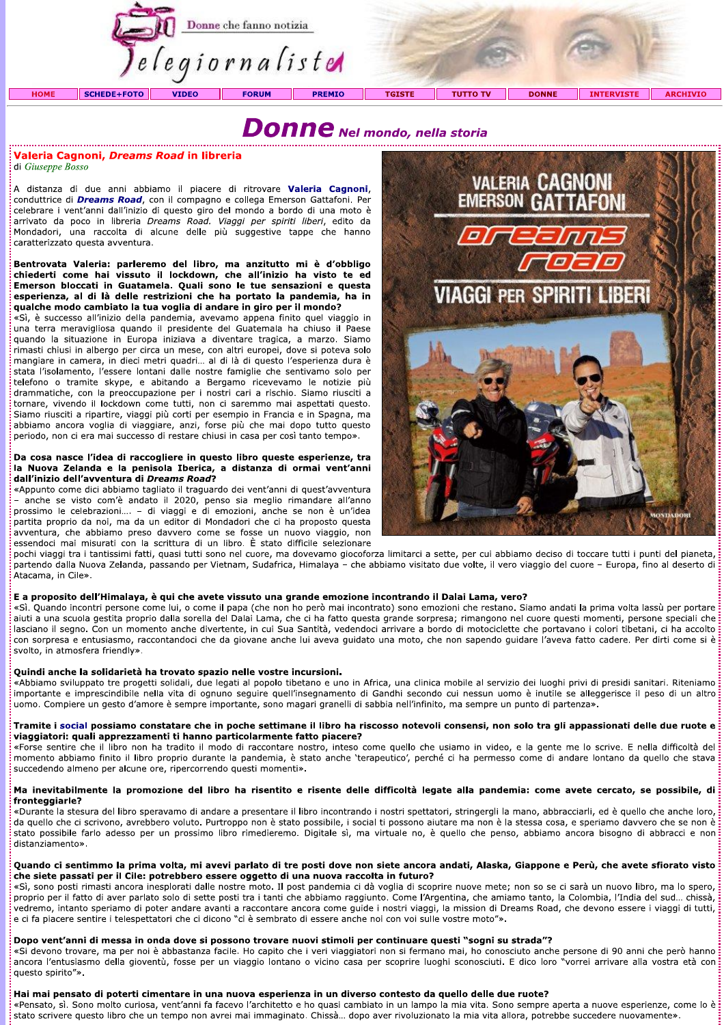

# Donne Nel mondo, nella storia

# Valeria Cagnoni, Dreams Road in libreria

di Giuseppe Bosso

A distanza di due anni abbiamo il piacere di ritrovare **Valeria Cagnoni**. conduttrice di *Dreams Road*, con il compagno e collega Emerson Gattafoni. Per celebrare i vent'anni dall'inizio di questo giro del mondo a bordo di una moto è arrivato da poco in libreria Dreams Road. Viaggi per spiriti liberi, edito da Mondadori, una raccolta di alcune delle più suggestive tappe che hanno caratterizzato questa avventura.

# Bentrovata Valeria: parleremo del libro, ma anzitutto mi è d'obbligo chiederti come hai vissuto il lockdown, che all'inizio ha visto te ed Emerson bloccati in Guatamela. Quali sono le tue sensazioni e questa esperienza, al di là delle restrizioni che ha portato la pandemia, ha in qualche modo cambiato la tua voglia di andare in giro per il mondo?

«Sì, è successo all'inizio della pandemia, avevamo appena finito quel viaggio in una terra meravigliosa guando il presidente del Guatemala ha chiuso il Paese quando la situazione in Europa iniziava a diventare tragica, a marzo. Siamo rimasti chiusi in albergo per circa un mese, con altri europei, dove si poteva solo mangiare in camera, in dieci metri quadri... al di là di questo l'esperienza dura è stata l'isolamento, l'essere lontani dalle nostre famiglie che sentivamo solo per telefono o tramite skype, e abitando a Bergamo ricevevamo le notizie più drammatiche, con la preoccupazione per i nostri cari a rischio. Siamo riusciti a tornare, vivendo il lockdown come tutti, non ci saremmo mai aspettati questo. Siamo riusciti a ripartire, viaggi più corti per esempio in Francia e in Spagna, ma abbiamo ancora voglia di viaggiare, anzi, forse più che mai dopo tutto questo periodo, non ci era mai successo di restare chiusi in casa per così tanto tempo».

# Da cosa nasce l'idea di raccogliere in questo libro queste esperienze, tra la Nuova Zelanda e la penisola Iberica, a distanza di ormai vent'anni dall'inizio dell'avventura di Dreams Road?

«Appunto come dici abbiamo tagliato il traguardo dei vent'anni di quest'avventura - anche se visto com'è andato il 2020, penso sia meglio rimandare all'anno prossimo le celebrazioni.... - di viaggi e di emozioni, anche se non è un'idea partita proprio da noi, ma da un editor di Mondadori che ci ha proposto questa avventura, che abbiamo preso davvero come se fosse un nuovo viaggio, non essendoci mai misurati con la scrittura di un libro. È stato difficile selezionare



pochi viaggi tra i tantissimi fatti, quasi tutti sono nel cuore, ma dovevamo giocoforza limitarci a sette, per cui abbiamo deciso di toccare tutti i punti del pianeta, partendo dalla Nuova Zelanda, passando per Vietnam, Sudafrica, Himalaya - che abbiamo visitato due volte, il vero viaggio del cuore - Europa, fino al deserto di Atacama, in Cile».

# E a proposito dell'Himalaya, è qui che avete vissuto una grande emozione incontrando il Dalai Lama, vero?

«Sì. Quando incontri persone come lui, o come il papa (che non ho però mai incontrato) sono emozioni che restano. Siamo andati la prima volta lassù per portare aiuti a una scuola gestita proprio dalla sorella del Dalai Lama, che ci ha fatto questa grande sorpresa; rimangono nel cuore questi momenti, persone speciali che lasciano il segno. Con un momento anche divertente, in cui Sua Santità, vedendoci arrivare a bordo di motociclette che portavano i colori tibetani, ci ha accolto con sorpresa e entusiasmo, raccontandoci che da giovane anche lui aveva guidato una moto, che non sapendo guidare l'aveva fatto cadere. Per dirti come si è svolto, in atmosfera friendly».

# Quindi anche la solidarietà ha trovato spazio nelle vostre incursioni.

«Abbiamo sviluppato tre progetti solidali, due legati al popolo tibetano e uno in Africa, una clinica mobile al servizio dei luoghi privi di presidi sanitari. Riteniamo importante e imprescindibile nella vita di ognuno seguire quell'insegnamento di Gandhi secondo cui nessun uomo è inutile se alleggerisce il peso di un altro uomo. Compiere un gesto d'amore è sempre importante, sono magari granelli di sabbia nell'infinito, ma sempre un punto di partenza».

# Tramite i social possiamo constatare che in poche settimane il libro ha riscosso notevoli consensi, non solo tra gli appassionati delle due ruote e viaggiatori: quali apprezzamenti ti hanno particolarmente fatto piacere?

«Forse sentire che il libro non ha tradito il modo di raccontare nostro, inteso come quello che usiamo in video, e la gente me lo scrive. E nella difficoltà del momento abbiamo finito il libro proprio durante la pandemia, è stato anche 'terapeutico', perché ci ha permesso come di andare lontano da quello che stava succedendo almeno per alcune ore, ripercorrendo questi momenti».

# Ma inevitabilmente la promozione del libro ha risentito e risente delle difficoltà legate alla pandemia: come avete cercato, se possibile, di fronteggiarle?

«Durante la stesura del libro speravamo di andare a presentare il libro incontrando i nostri spettatori, stringergli la mano, abbracciarli, ed è quello che anche loro, da quello che ci scrivono, avrebbero voluto. Purtroppo non è stato possibile, i social ti possono aiutare ma non è la stessa cosa, e speriamo davvero che se non è stato possibile farlo adesso per un prossimo libro rimedieremo. Digitale sì, ma virtuale no, è quello che penso, abbiamo ancora bisogno di abbracci e non distanziamento».

# Quando ci sentimmo la prima volta, mi avevi parlato di tre posti dove non siete ancora andati, Alaska, Giappone e Perù, che avete sfiorato visto che siete passati per il Cile: potrebbero essere oggetto di una nuova raccolta in futuro?

«Sì, sono posti rimasti ancora inesplorati dalle nostre moto. Il post pandemia ci dà voglia di scoprire nuove mete; non so se ci sarà un nuovo libro, ma lo spero, proprio per il fatto di aver parlato solo di sette posti tra i tanti che abbiamo raggiunto. Come l'Argentina, che amiamo tanto, la Colombia, l'India del sud... chissà, vedremo, intanto speriamo di poter andare avanti a raccontare ancora come guide i nostri viaggi, la mission di Dreams Road, che devono essere i viaggi di tutti, e ci fa piacere sentire i telespettatori che ci dicono "ci è sembrato di essere anche noi con voi sulle vostre moto"».

# Dopo vent'anni di messa in onda dove si possono trovare nuovi stimoli per continuare questi "sogni su strada"?

expression traveled in the serve of the capito che i verification in the remains and mail to conosciuto anche persone di 90 anni che però hanno<br>Ancora l'entusiasmo della gioventù, fosse per un viaggio lontano o vicino casa questo spirito"».

# Hai mai pensato di poterti cimentare in una nuova esperienza in un diverso contesto da quello delle due ruote?

«Pensato, sì. Sono molto curiosa, vent'anni fa facevo l'architetto e ho quasi cambiato in un lampo la mia vita. Sono sempre aperta a nuove esperienze, come lo è stato scrivere questo libro che un tempo non avrei mai immaginato. Chissà... dopo aver rivoluzionato la mia vita allora, potrebbe succedere nuovamente».